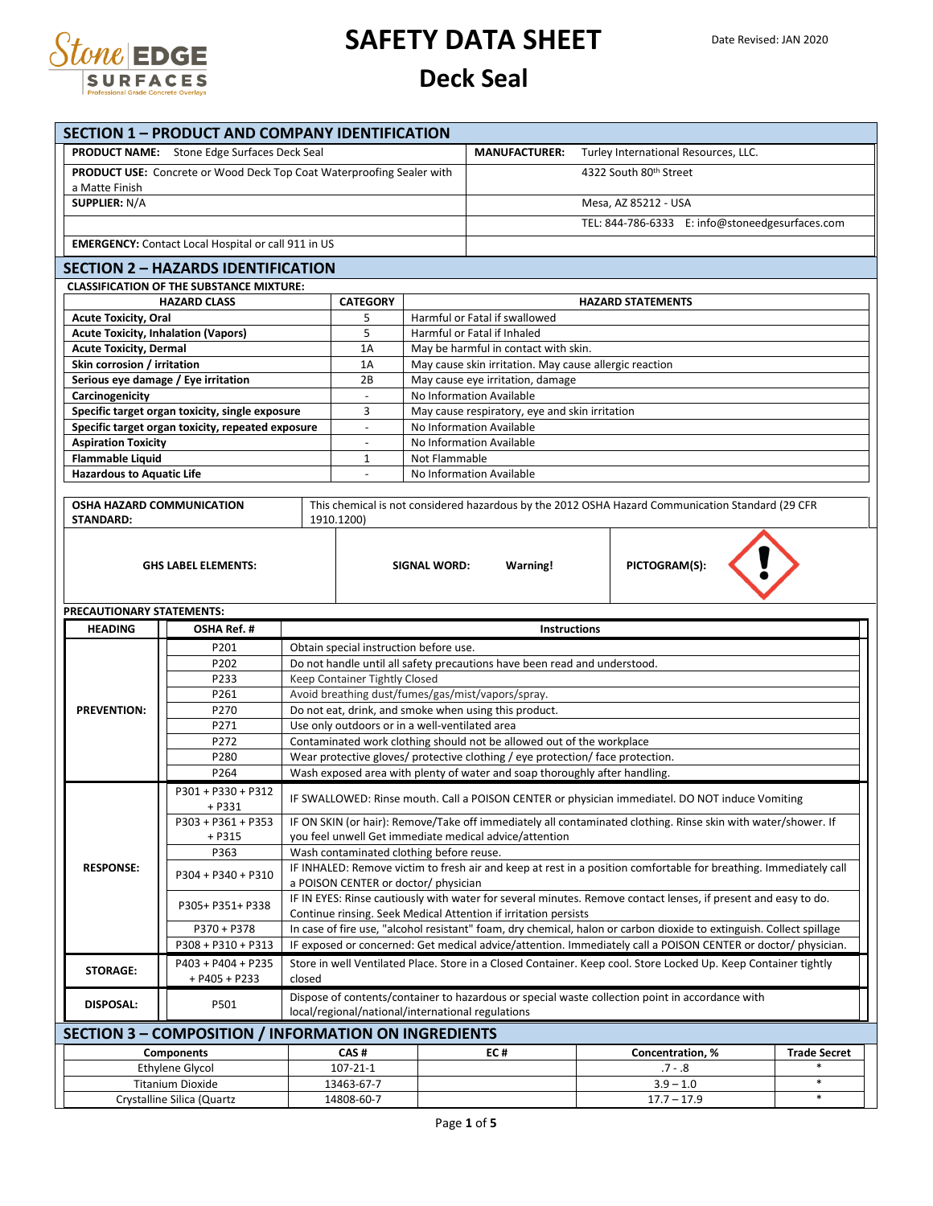

| <b>SECTION 1 - PRODUCT AND COMPANY IDENTIFICATION</b>                     |                                                                                                      |                 |                                                   |                                                              |                                                                                                                                                         |                                                                                                                      |                     |  |  |  |
|---------------------------------------------------------------------------|------------------------------------------------------------------------------------------------------|-----------------|---------------------------------------------------|--------------------------------------------------------------|---------------------------------------------------------------------------------------------------------------------------------------------------------|----------------------------------------------------------------------------------------------------------------------|---------------------|--|--|--|
| <b>PRODUCT NAME:</b> Stone Edge Surfaces Deck Seal                        |                                                                                                      |                 |                                                   |                                                              | <b>MANUFACTURER:</b>                                                                                                                                    | Turley International Resources, LLC.                                                                                 |                     |  |  |  |
| PRODUCT USE: Concrete or Wood Deck Top Coat Waterproofing Sealer with     |                                                                                                      |                 |                                                   |                                                              | 4322 South 80th Street                                                                                                                                  |                                                                                                                      |                     |  |  |  |
| a Matte Finish                                                            |                                                                                                      |                 |                                                   |                                                              |                                                                                                                                                         |                                                                                                                      |                     |  |  |  |
| <b>SUPPLIER: N/A</b>                                                      |                                                                                                      |                 |                                                   |                                                              |                                                                                                                                                         | Mesa, AZ 85212 - USA                                                                                                 |                     |  |  |  |
|                                                                           |                                                                                                      |                 |                                                   |                                                              | TEL: 844-786-6333 E: info@stoneedgesurfaces.com                                                                                                         |                                                                                                                      |                     |  |  |  |
| <b>EMERGENCY:</b> Contact Local Hospital or call 911 in US                |                                                                                                      |                 |                                                   |                                                              |                                                                                                                                                         |                                                                                                                      |                     |  |  |  |
| <b>SECTION 2 - HAZARDS IDENTIFICATION</b>                                 |                                                                                                      |                 |                                                   |                                                              |                                                                                                                                                         |                                                                                                                      |                     |  |  |  |
|                                                                           | <b>CLASSIFICATION OF THE SUBSTANCE MIXTURE:</b>                                                      |                 |                                                   |                                                              |                                                                                                                                                         |                                                                                                                      |                     |  |  |  |
| <b>HAZARD CLASS</b>                                                       |                                                                                                      | <b>CATEGORY</b> |                                                   |                                                              | <b>HAZARD STATEMENTS</b>                                                                                                                                |                                                                                                                      |                     |  |  |  |
| <b>Acute Toxicity, Oral</b><br><b>Acute Toxicity, Inhalation (Vapors)</b> |                                                                                                      |                 | 5<br>5                                            | Harmful or Fatal if swallowed<br>Harmful or Fatal if Inhaled |                                                                                                                                                         |                                                                                                                      |                     |  |  |  |
| <b>Acute Toxicity, Dermal</b>                                             |                                                                                                      |                 | 1A                                                | May be harmful in contact with skin.                         |                                                                                                                                                         |                                                                                                                      |                     |  |  |  |
| Skin corrosion / irritation                                               |                                                                                                      |                 | 1A                                                |                                                              | May cause skin irritation. May cause allergic reaction                                                                                                  |                                                                                                                      |                     |  |  |  |
| Serious eye damage / Eye irritation                                       |                                                                                                      |                 | 2B                                                |                                                              | May cause eye irritation, damage                                                                                                                        |                                                                                                                      |                     |  |  |  |
| Carcinogenicity                                                           |                                                                                                      |                 |                                                   |                                                              | No Information Available                                                                                                                                |                                                                                                                      |                     |  |  |  |
|                                                                           | Specific target organ toxicity, single exposure<br>Specific target organ toxicity, repeated exposure |                 | 3<br>$\overline{a}$                               |                                                              | May cause respiratory, eye and skin irritation<br>No Information Available                                                                              |                                                                                                                      |                     |  |  |  |
| <b>Aspiration Toxicity</b>                                                |                                                                                                      |                 | $\overline{\phantom{a}}$                          |                                                              | No Information Available                                                                                                                                |                                                                                                                      |                     |  |  |  |
| <b>Flammable Liquid</b>                                                   |                                                                                                      |                 | 1                                                 | Not Flammable                                                |                                                                                                                                                         |                                                                                                                      |                     |  |  |  |
| <b>Hazardous to Aquatic Life</b>                                          |                                                                                                      |                 |                                                   |                                                              | No Information Available                                                                                                                                |                                                                                                                      |                     |  |  |  |
|                                                                           |                                                                                                      |                 |                                                   |                                                              |                                                                                                                                                         |                                                                                                                      |                     |  |  |  |
| <b>OSHA HAZARD COMMUNICATION</b><br><b>STANDARD:</b>                      |                                                                                                      | 1910.1200)      |                                                   |                                                              |                                                                                                                                                         | This chemical is not considered hazardous by the 2012 OSHA Hazard Communication Standard (29 CFR                     |                     |  |  |  |
|                                                                           |                                                                                                      |                 |                                                   |                                                              |                                                                                                                                                         |                                                                                                                      |                     |  |  |  |
|                                                                           |                                                                                                      |                 |                                                   |                                                              |                                                                                                                                                         |                                                                                                                      |                     |  |  |  |
|                                                                           | <b>GHS LABEL ELEMENTS:</b>                                                                           |                 |                                                   | SIGNAL WORD:                                                 | Warning!                                                                                                                                                | PICTOGRAM(S):                                                                                                        |                     |  |  |  |
|                                                                           |                                                                                                      |                 |                                                   |                                                              |                                                                                                                                                         |                                                                                                                      |                     |  |  |  |
|                                                                           |                                                                                                      |                 |                                                   |                                                              |                                                                                                                                                         |                                                                                                                      |                     |  |  |  |
| PRECAUTIONARY STATEMENTS:                                                 |                                                                                                      |                 |                                                   |                                                              |                                                                                                                                                         |                                                                                                                      |                     |  |  |  |
| <b>HEADING</b>                                                            |                                                                                                      |                 |                                                   |                                                              |                                                                                                                                                         |                                                                                                                      |                     |  |  |  |
|                                                                           | OSHA Ref.#<br>P201                                                                                   |                 | Obtain special instruction before use.            |                                                              | Instructions                                                                                                                                            |                                                                                                                      |                     |  |  |  |
|                                                                           | P202                                                                                                 |                 |                                                   |                                                              | Do not handle until all safety precautions have been read and understood.                                                                               |                                                                                                                      |                     |  |  |  |
|                                                                           | P233                                                                                                 |                 | Keep Container Tightly Closed                     |                                                              |                                                                                                                                                         |                                                                                                                      |                     |  |  |  |
|                                                                           | P261                                                                                                 |                 |                                                   |                                                              | Avoid breathing dust/fumes/gas/mist/vapors/spray.                                                                                                       |                                                                                                                      |                     |  |  |  |
| <b>PREVENTION:</b>                                                        | P270                                                                                                 |                 |                                                   |                                                              | Do not eat, drink, and smoke when using this product.                                                                                                   |                                                                                                                      |                     |  |  |  |
|                                                                           | P271                                                                                                 |                 | Use only outdoors or in a well-ventilated area    |                                                              |                                                                                                                                                         |                                                                                                                      |                     |  |  |  |
|                                                                           | P272<br>P280                                                                                         |                 |                                                   |                                                              | Contaminated work clothing should not be allowed out of the workplace<br>Wear protective gloves/ protective clothing / eye protection/ face protection. |                                                                                                                      |                     |  |  |  |
|                                                                           | P264                                                                                                 |                 |                                                   |                                                              | Wash exposed area with plenty of water and soap thoroughly after handling.                                                                              |                                                                                                                      |                     |  |  |  |
|                                                                           | $P301 + P330 + P312$                                                                                 |                 |                                                   |                                                              |                                                                                                                                                         | IF SWALLOWED: Rinse mouth. Call a POISON CENTER or physician immediatel. DO NOT induce Vomiting                      |                     |  |  |  |
|                                                                           | + P331<br>P303 + P361 + P353                                                                         |                 |                                                   |                                                              |                                                                                                                                                         | IF ON SKIN (or hair): Remove/Take off immediately all contaminated clothing. Rinse skin with water/shower. If        |                     |  |  |  |
|                                                                           | + P315                                                                                               |                 |                                                   |                                                              | you feel unwell Get immediate medical advice/attention                                                                                                  |                                                                                                                      |                     |  |  |  |
|                                                                           | P363                                                                                                 |                 | Wash contaminated clothing before reuse.          |                                                              |                                                                                                                                                         |                                                                                                                      |                     |  |  |  |
| <b>RESPONSE:</b>                                                          | P304 + P340 + P310                                                                                   |                 | a POISON CENTER or doctor/ physician              |                                                              |                                                                                                                                                         | IF INHALED: Remove victim to fresh air and keep at rest in a position comfortable for breathing. Immediately call    |                     |  |  |  |
|                                                                           |                                                                                                      |                 |                                                   |                                                              |                                                                                                                                                         | IF IN EYES: Rinse cautiously with water for several minutes. Remove contact lenses, if present and easy to do.       |                     |  |  |  |
|                                                                           | P305+ P351+ P338                                                                                     |                 |                                                   |                                                              | Continue rinsing. Seek Medical Attention if irritation persists                                                                                         |                                                                                                                      |                     |  |  |  |
|                                                                           | P370 + P378                                                                                          |                 |                                                   |                                                              |                                                                                                                                                         | In case of fire use, "alcohol resistant" foam, dry chemical, halon or carbon dioxide to extinguish. Collect spillage |                     |  |  |  |
|                                                                           | P308 + P310 + P313                                                                                   |                 |                                                   |                                                              |                                                                                                                                                         | IF exposed or concerned: Get medical advice/attention. Immediately call a POISON CENTER or doctor/ physician.        |                     |  |  |  |
| <b>STORAGE:</b>                                                           | P403 + P404 + P235<br>$+$ P405 + P233                                                                | closed          |                                                   |                                                              |                                                                                                                                                         | Store in well Ventilated Place. Store in a Closed Container. Keep cool. Store Locked Up. Keep Container tightly      |                     |  |  |  |
| <b>DISPOSAL:</b>                                                          | P501                                                                                                 |                 | local/regional/national/international regulations |                                                              |                                                                                                                                                         | Dispose of contents/container to hazardous or special waste collection point in accordance with                      |                     |  |  |  |
|                                                                           |                                                                                                      |                 |                                                   |                                                              |                                                                                                                                                         |                                                                                                                      |                     |  |  |  |
|                                                                           | SECTION 3 - COMPOSITION / INFORMATION ON INGREDIENTS                                                 |                 |                                                   |                                                              |                                                                                                                                                         |                                                                                                                      |                     |  |  |  |
|                                                                           | <b>Components</b>                                                                                    |                 | CAS#                                              |                                                              | EC#                                                                                                                                                     | Concentration, %                                                                                                     | <b>Trade Secret</b> |  |  |  |
|                                                                           | <b>Ethylene Glycol</b><br><b>Titanium Dioxide</b>                                                    |                 | 107-21-1<br>13463-67-7                            |                                                              |                                                                                                                                                         | $.7 - .8$<br>$3.9 - 1.0$                                                                                             | $\ast$              |  |  |  |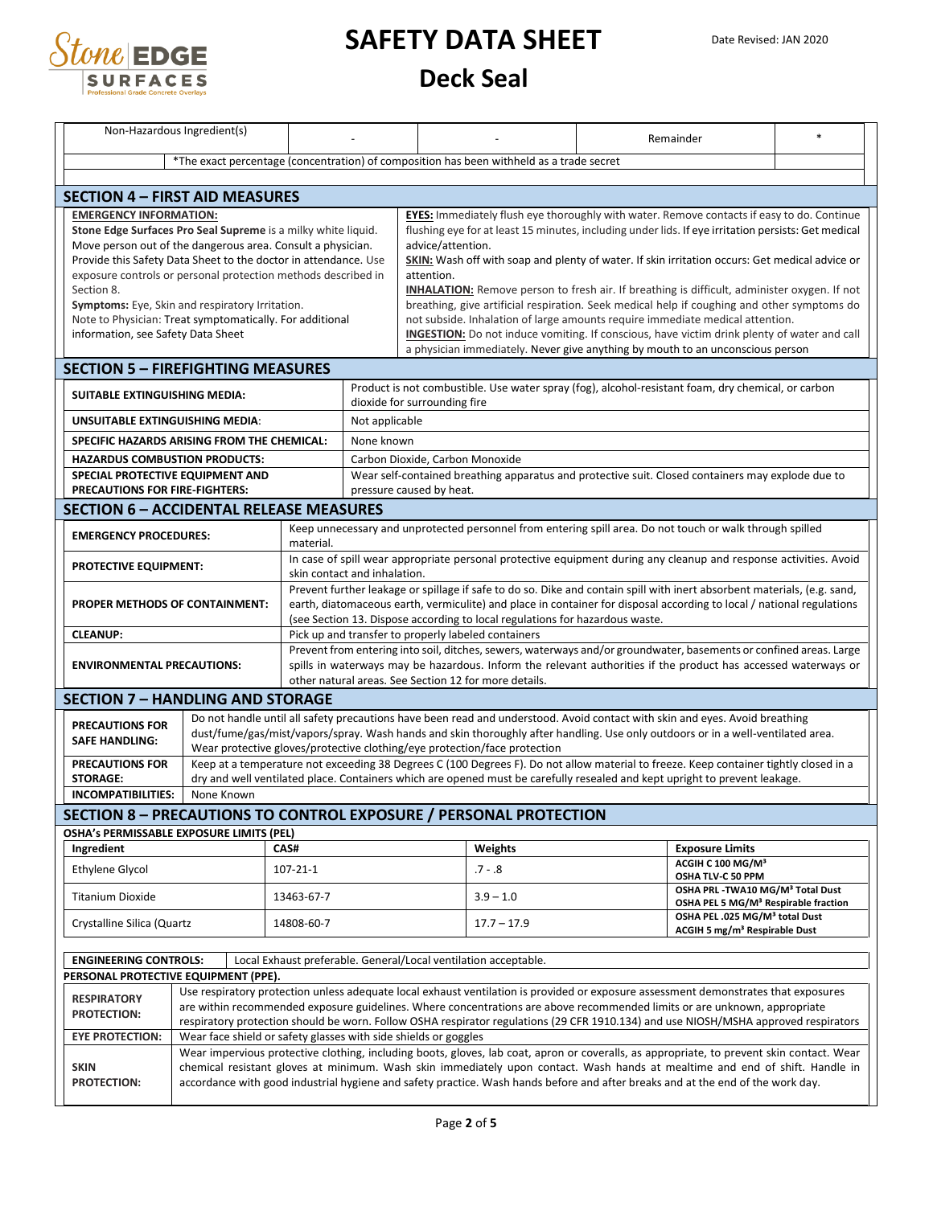

| Non-Hazardous Ingredient(s)                                                                                          |                                                                                                                                                                                                                                                                                                                                                                                                              |                |                                                                                                                                                                                                                                                                                                                                                                                                                                                                                                                                                                                                                                                                                                                                                                                                                |                                                                                                                                                                                                                                                                                               |                                                                                                                                                                                                                                                                                                                                             |  | Remainder                                                                                         | $\ast$ |  |  |  |
|----------------------------------------------------------------------------------------------------------------------|--------------------------------------------------------------------------------------------------------------------------------------------------------------------------------------------------------------------------------------------------------------------------------------------------------------------------------------------------------------------------------------------------------------|----------------|----------------------------------------------------------------------------------------------------------------------------------------------------------------------------------------------------------------------------------------------------------------------------------------------------------------------------------------------------------------------------------------------------------------------------------------------------------------------------------------------------------------------------------------------------------------------------------------------------------------------------------------------------------------------------------------------------------------------------------------------------------------------------------------------------------------|-----------------------------------------------------------------------------------------------------------------------------------------------------------------------------------------------------------------------------------------------------------------------------------------------|---------------------------------------------------------------------------------------------------------------------------------------------------------------------------------------------------------------------------------------------------------------------------------------------------------------------------------------------|--|---------------------------------------------------------------------------------------------------|--------|--|--|--|
|                                                                                                                      | *The exact percentage (concentration) of composition has been withheld as a trade secret                                                                                                                                                                                                                                                                                                                     |                |                                                                                                                                                                                                                                                                                                                                                                                                                                                                                                                                                                                                                                                                                                                                                                                                                |                                                                                                                                                                                                                                                                                               |                                                                                                                                                                                                                                                                                                                                             |  |                                                                                                   |        |  |  |  |
|                                                                                                                      |                                                                                                                                                                                                                                                                                                                                                                                                              |                |                                                                                                                                                                                                                                                                                                                                                                                                                                                                                                                                                                                                                                                                                                                                                                                                                |                                                                                                                                                                                                                                                                                               |                                                                                                                                                                                                                                                                                                                                             |  |                                                                                                   |        |  |  |  |
| <b>SECTION 4 – FIRST AID MEASURES</b>                                                                                |                                                                                                                                                                                                                                                                                                                                                                                                              |                |                                                                                                                                                                                                                                                                                                                                                                                                                                                                                                                                                                                                                                                                                                                                                                                                                |                                                                                                                                                                                                                                                                                               |                                                                                                                                                                                                                                                                                                                                             |  |                                                                                                   |        |  |  |  |
| <b>EMERGENCY INFORMATION:</b><br>Section 8.<br>information, see Safety Data Sheet                                    | Stone Edge Surfaces Pro Seal Supreme is a milky white liquid.<br>Move person out of the dangerous area. Consult a physician.<br>Provide this Safety Data Sheet to the doctor in attendance. Use<br>exposure controls or personal protection methods described in<br>Symptoms: Eye, Skin and respiratory Irritation.<br>Note to Physician: Treat symptomatically. For additional                              |                | EYES: Immediately flush eye thoroughly with water. Remove contacts if easy to do. Continue<br>flushing eye for at least 15 minutes, including under lids. If eye irritation persists: Get medical<br>advice/attention.<br>SKIN: Wash off with soap and plenty of water. If skin irritation occurs: Get medical advice or<br>attention.<br><b>INHALATION:</b> Remove person to fresh air. If breathing is difficult, administer oxygen. If not<br>breathing, give artificial respiration. Seek medical help if coughing and other symptoms do<br>not subside. Inhalation of large amounts require immediate medical attention.<br>INGESTION: Do not induce vomiting. If conscious, have victim drink plenty of water and call<br>a physician immediately. Never give anything by mouth to an unconscious person |                                                                                                                                                                                                                                                                                               |                                                                                                                                                                                                                                                                                                                                             |  |                                                                                                   |        |  |  |  |
| <b>SECTION 5 - FIREFIGHTING MEASURES</b>                                                                             |                                                                                                                                                                                                                                                                                                                                                                                                              |                |                                                                                                                                                                                                                                                                                                                                                                                                                                                                                                                                                                                                                                                                                                                                                                                                                |                                                                                                                                                                                                                                                                                               |                                                                                                                                                                                                                                                                                                                                             |  |                                                                                                   |        |  |  |  |
| SUITABLE EXTINGUISHING MEDIA:                                                                                        |                                                                                                                                                                                                                                                                                                                                                                                                              |                |                                                                                                                                                                                                                                                                                                                                                                                                                                                                                                                                                                                                                                                                                                                                                                                                                | dioxide for surrounding fire                                                                                                                                                                                                                                                                  | Product is not combustible. Use water spray (fog), alcohol-resistant foam, dry chemical, or carbon                                                                                                                                                                                                                                          |  |                                                                                                   |        |  |  |  |
| <b>UNSUITABLE EXTINGUISHING MEDIA:</b>                                                                               |                                                                                                                                                                                                                                                                                                                                                                                                              |                | Not applicable                                                                                                                                                                                                                                                                                                                                                                                                                                                                                                                                                                                                                                                                                                                                                                                                 |                                                                                                                                                                                                                                                                                               |                                                                                                                                                                                                                                                                                                                                             |  |                                                                                                   |        |  |  |  |
|                                                                                                                      | SPECIFIC HAZARDS ARISING FROM THE CHEMICAL:                                                                                                                                                                                                                                                                                                                                                                  |                | None known                                                                                                                                                                                                                                                                                                                                                                                                                                                                                                                                                                                                                                                                                                                                                                                                     |                                                                                                                                                                                                                                                                                               |                                                                                                                                                                                                                                                                                                                                             |  |                                                                                                   |        |  |  |  |
| <b>HAZARDUS COMBUSTION PRODUCTS:</b>                                                                                 |                                                                                                                                                                                                                                                                                                                                                                                                              |                |                                                                                                                                                                                                                                                                                                                                                                                                                                                                                                                                                                                                                                                                                                                                                                                                                | Carbon Dioxide, Carbon Monoxide                                                                                                                                                                                                                                                               |                                                                                                                                                                                                                                                                                                                                             |  |                                                                                                   |        |  |  |  |
| SPECIAL PROTECTIVE EQUIPMENT AND<br>PRECAUTIONS FOR FIRE-FIGHTERS:                                                   |                                                                                                                                                                                                                                                                                                                                                                                                              |                |                                                                                                                                                                                                                                                                                                                                                                                                                                                                                                                                                                                                                                                                                                                                                                                                                | pressure caused by heat.                                                                                                                                                                                                                                                                      | Wear self-contained breathing apparatus and protective suit. Closed containers may explode due to                                                                                                                                                                                                                                           |  |                                                                                                   |        |  |  |  |
| <b>SECTION 6 - ACCIDENTAL RELEASE MEASURES</b>                                                                       |                                                                                                                                                                                                                                                                                                                                                                                                              |                |                                                                                                                                                                                                                                                                                                                                                                                                                                                                                                                                                                                                                                                                                                                                                                                                                |                                                                                                                                                                                                                                                                                               |                                                                                                                                                                                                                                                                                                                                             |  |                                                                                                   |        |  |  |  |
| <b>EMERGENCY PROCEDURES:</b>                                                                                         |                                                                                                                                                                                                                                                                                                                                                                                                              |                |                                                                                                                                                                                                                                                                                                                                                                                                                                                                                                                                                                                                                                                                                                                                                                                                                |                                                                                                                                                                                                                                                                                               | Keep unnecessary and unprotected personnel from entering spill area. Do not touch or walk through spilled                                                                                                                                                                                                                                   |  |                                                                                                   |        |  |  |  |
| <b>PROTECTIVE EQUIPMENT:</b>                                                                                         |                                                                                                                                                                                                                                                                                                                                                                                                              | material.      |                                                                                                                                                                                                                                                                                                                                                                                                                                                                                                                                                                                                                                                                                                                                                                                                                |                                                                                                                                                                                                                                                                                               | In case of spill wear appropriate personal protective equipment during any cleanup and response activities. Avoid                                                                                                                                                                                                                           |  |                                                                                                   |        |  |  |  |
|                                                                                                                      |                                                                                                                                                                                                                                                                                                                                                                                                              |                | skin contact and inhalation.                                                                                                                                                                                                                                                                                                                                                                                                                                                                                                                                                                                                                                                                                                                                                                                   |                                                                                                                                                                                                                                                                                               | Prevent further leakage or spillage if safe to do so. Dike and contain spill with inert absorbent materials, (e.g. sand,                                                                                                                                                                                                                    |  |                                                                                                   |        |  |  |  |
|                                                                                                                      | <b>PROPER METHODS OF CONTAINMENT:</b>                                                                                                                                                                                                                                                                                                                                                                        |                |                                                                                                                                                                                                                                                                                                                                                                                                                                                                                                                                                                                                                                                                                                                                                                                                                |                                                                                                                                                                                                                                                                                               | earth, diatomaceous earth, vermiculite) and place in container for disposal according to local / national regulations<br>(see Section 13. Dispose according to local regulations for hazardous waste.                                                                                                                                       |  |                                                                                                   |        |  |  |  |
| <b>CLEANUP:</b>                                                                                                      |                                                                                                                                                                                                                                                                                                                                                                                                              |                |                                                                                                                                                                                                                                                                                                                                                                                                                                                                                                                                                                                                                                                                                                                                                                                                                |                                                                                                                                                                                                                                                                                               | Pick up and transfer to properly labeled containers                                                                                                                                                                                                                                                                                         |  |                                                                                                   |        |  |  |  |
| <b>ENVIRONMENTAL PRECAUTIONS:</b>                                                                                    |                                                                                                                                                                                                                                                                                                                                                                                                              |                |                                                                                                                                                                                                                                                                                                                                                                                                                                                                                                                                                                                                                                                                                                                                                                                                                | Prevent from entering into soil, ditches, sewers, waterways and/or groundwater, basements or confined areas. Large<br>spills in waterways may be hazardous. Inform the relevant authorities if the product has accessed waterways or<br>other natural areas. See Section 12 for more details. |                                                                                                                                                                                                                                                                                                                                             |  |                                                                                                   |        |  |  |  |
| <b>SECTION 7 - HANDLING AND STORAGE</b>                                                                              |                                                                                                                                                                                                                                                                                                                                                                                                              |                |                                                                                                                                                                                                                                                                                                                                                                                                                                                                                                                                                                                                                                                                                                                                                                                                                |                                                                                                                                                                                                                                                                                               |                                                                                                                                                                                                                                                                                                                                             |  |                                                                                                   |        |  |  |  |
| <b>PRECAUTIONS FOR</b><br><b>SAFE HANDLING:</b>                                                                      |                                                                                                                                                                                                                                                                                                                                                                                                              |                |                                                                                                                                                                                                                                                                                                                                                                                                                                                                                                                                                                                                                                                                                                                                                                                                                |                                                                                                                                                                                                                                                                                               | Do not handle until all safety precautions have been read and understood. Avoid contact with skin and eyes. Avoid breathing<br>dust/fume/gas/mist/vapors/spray. Wash hands and skin thoroughly after handling. Use only outdoors or in a well-ventilated area.<br>Wear protective gloves/protective clothing/eye protection/face protection |  |                                                                                                   |        |  |  |  |
| <b>PRECAUTIONS FOR</b>                                                                                               |                                                                                                                                                                                                                                                                                                                                                                                                              |                |                                                                                                                                                                                                                                                                                                                                                                                                                                                                                                                                                                                                                                                                                                                                                                                                                |                                                                                                                                                                                                                                                                                               | Keep at a temperature not exceeding 38 Degrees C (100 Degrees F). Do not allow material to freeze. Keep container tightly closed in a                                                                                                                                                                                                       |  |                                                                                                   |        |  |  |  |
| <b>STORAGE:</b><br><b>INCOMPATIBILITIES:</b>                                                                         |                                                                                                                                                                                                                                                                                                                                                                                                              |                |                                                                                                                                                                                                                                                                                                                                                                                                                                                                                                                                                                                                                                                                                                                                                                                                                |                                                                                                                                                                                                                                                                                               | dry and well ventilated place. Containers which are opened must be carefully resealed and kept upright to prevent leakage.                                                                                                                                                                                                                  |  |                                                                                                   |        |  |  |  |
|                                                                                                                      | None Known                                                                                                                                                                                                                                                                                                                                                                                                   |                |                                                                                                                                                                                                                                                                                                                                                                                                                                                                                                                                                                                                                                                                                                                                                                                                                |                                                                                                                                                                                                                                                                                               |                                                                                                                                                                                                                                                                                                                                             |  |                                                                                                   |        |  |  |  |
| <b>SECTION 8 - PRECAUTIONS TO CONTROL EXPOSURE / PERSONAL PROTECTION</b><br>OSHA's PERMISSABLE EXPOSURE LIMITS (PEL) |                                                                                                                                                                                                                                                                                                                                                                                                              |                |                                                                                                                                                                                                                                                                                                                                                                                                                                                                                                                                                                                                                                                                                                                                                                                                                |                                                                                                                                                                                                                                                                                               |                                                                                                                                                                                                                                                                                                                                             |  |                                                                                                   |        |  |  |  |
| Ingredient                                                                                                           |                                                                                                                                                                                                                                                                                                                                                                                                              |                | CAS#                                                                                                                                                                                                                                                                                                                                                                                                                                                                                                                                                                                                                                                                                                                                                                                                           |                                                                                                                                                                                                                                                                                               | Weights                                                                                                                                                                                                                                                                                                                                     |  | <b>Exposure Limits</b>                                                                            |        |  |  |  |
| <b>Ethylene Glycol</b>                                                                                               |                                                                                                                                                                                                                                                                                                                                                                                                              | $107 - 21 - 1$ |                                                                                                                                                                                                                                                                                                                                                                                                                                                                                                                                                                                                                                                                                                                                                                                                                |                                                                                                                                                                                                                                                                                               | $.7 - .8$                                                                                                                                                                                                                                                                                                                                   |  | ACGIH C 100 MG/M <sup>3</sup><br>OSHA TLV-C 50 PPM                                                |        |  |  |  |
| <b>Titanium Dioxide</b>                                                                                              | 13463-67-7                                                                                                                                                                                                                                                                                                                                                                                                   |                |                                                                                                                                                                                                                                                                                                                                                                                                                                                                                                                                                                                                                                                                                                                                                                                                                |                                                                                                                                                                                                                                                                                               | $3.9 - 1.0$                                                                                                                                                                                                                                                                                                                                 |  | OSHA PRL - TWA10 MG/M <sup>3</sup> Total Dust<br>OSHA PEL 5 MG/M <sup>3</sup> Respirable fraction |        |  |  |  |
| Crystalline Silica (Quartz<br>14808-60-7                                                                             |                                                                                                                                                                                                                                                                                                                                                                                                              |                |                                                                                                                                                                                                                                                                                                                                                                                                                                                                                                                                                                                                                                                                                                                                                                                                                |                                                                                                                                                                                                                                                                                               | $17.7 - 17.9$                                                                                                                                                                                                                                                                                                                               |  | OSHA PEL .025 MG/M <sup>3</sup> total Dust<br>ACGIH 5 mg/m <sup>3</sup> Respirable Dust           |        |  |  |  |
| <b>ENGINEERING CONTROLS:</b>                                                                                         |                                                                                                                                                                                                                                                                                                                                                                                                              |                |                                                                                                                                                                                                                                                                                                                                                                                                                                                                                                                                                                                                                                                                                                                                                                                                                |                                                                                                                                                                                                                                                                                               | Local Exhaust preferable. General/Local ventilation acceptable.                                                                                                                                                                                                                                                                             |  |                                                                                                   |        |  |  |  |
| PERSONAL PROTECTIVE EQUIPMENT (PPE).                                                                                 |                                                                                                                                                                                                                                                                                                                                                                                                              |                |                                                                                                                                                                                                                                                                                                                                                                                                                                                                                                                                                                                                                                                                                                                                                                                                                |                                                                                                                                                                                                                                                                                               |                                                                                                                                                                                                                                                                                                                                             |  |                                                                                                   |        |  |  |  |
| <b>RESPIRATORY</b><br><b>PROTECTION:</b>                                                                             | Use respiratory protection unless adequate local exhaust ventilation is provided or exposure assessment demonstrates that exposures<br>are within recommended exposure guidelines. Where concentrations are above recommended limits or are unknown, appropriate<br>respiratory protection should be worn. Follow OSHA respirator regulations (29 CFR 1910.134) and use NIOSH/MSHA approved respirators      |                |                                                                                                                                                                                                                                                                                                                                                                                                                                                                                                                                                                                                                                                                                                                                                                                                                |                                                                                                                                                                                                                                                                                               |                                                                                                                                                                                                                                                                                                                                             |  |                                                                                                   |        |  |  |  |
| <b>EYE PROTECTION:</b>                                                                                               | Wear face shield or safety glasses with side shields or goggles                                                                                                                                                                                                                                                                                                                                              |                |                                                                                                                                                                                                                                                                                                                                                                                                                                                                                                                                                                                                                                                                                                                                                                                                                |                                                                                                                                                                                                                                                                                               |                                                                                                                                                                                                                                                                                                                                             |  |                                                                                                   |        |  |  |  |
| <b>SKIN</b><br><b>PROTECTION:</b>                                                                                    | Wear impervious protective clothing, including boots, gloves, lab coat, apron or coveralls, as appropriate, to prevent skin contact. Wear<br>chemical resistant gloves at minimum. Wash skin immediately upon contact. Wash hands at mealtime and end of shift. Handle in<br>accordance with good industrial hygiene and safety practice. Wash hands before and after breaks and at the end of the work day. |                |                                                                                                                                                                                                                                                                                                                                                                                                                                                                                                                                                                                                                                                                                                                                                                                                                |                                                                                                                                                                                                                                                                                               |                                                                                                                                                                                                                                                                                                                                             |  |                                                                                                   |        |  |  |  |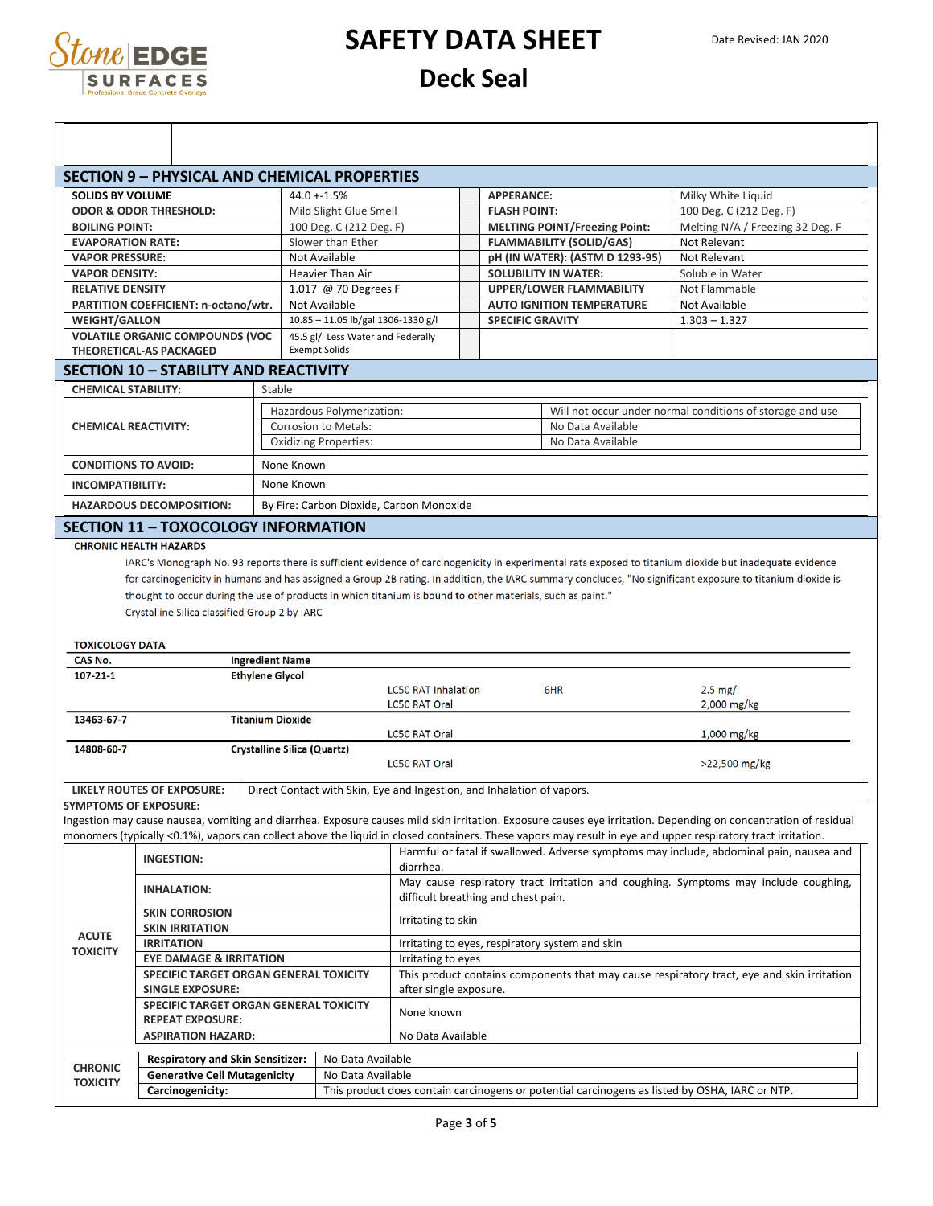

|                                                                                      | <b>SECTION 9 - PHYSICAL AND CHEMICAL PROPERTIES</b>                                                        |                                    |                                                            |                                                                        |                                      |                                                 |                                                                                                                                                                                                                                                                                                                        |
|--------------------------------------------------------------------------------------|------------------------------------------------------------------------------------------------------------|------------------------------------|------------------------------------------------------------|------------------------------------------------------------------------|--------------------------------------|-------------------------------------------------|------------------------------------------------------------------------------------------------------------------------------------------------------------------------------------------------------------------------------------------------------------------------------------------------------------------------|
| <b>SOLIDS BY VOLUME</b>                                                              |                                                                                                            |                                    | $44.0 + 1.5%$                                              |                                                                        | <b>APPERANCE:</b>                    |                                                 | Milky White Liquid                                                                                                                                                                                                                                                                                                     |
|                                                                                      | <b>ODOR &amp; ODOR THRESHOLD:</b><br>Mild Slight Glue Smell                                                |                                    |                                                            |                                                                        | <b>FLASH POINT:</b>                  |                                                 | 100 Deg. C (212 Deg. F)                                                                                                                                                                                                                                                                                                |
| <b>BOILING POINT:</b>                                                                | 100 Deg. C (212 Deg. F)                                                                                    |                                    |                                                            |                                                                        | <b>MELTING POINT/Freezing Point:</b> |                                                 | Melting N/A / Freezing 32 Deg. F                                                                                                                                                                                                                                                                                       |
|                                                                                      | Slower than Ether<br><b>EVAPORATION RATE:</b>                                                              |                                    |                                                            |                                                                        | <b>FLAMMABILITY (SOLID/GAS)</b>      |                                                 | Not Relevant                                                                                                                                                                                                                                                                                                           |
| <b>VAPOR PRESSURE:</b>                                                               | Not Available                                                                                              |                                    |                                                            |                                                                        | pH (IN WATER): (ASTM D 1293-95)      |                                                 | Not Relevant                                                                                                                                                                                                                                                                                                           |
| <b>VAPOR DENSITY:</b>                                                                |                                                                                                            |                                    | Heavier Than Air                                           |                                                                        | <b>SOLUBILITY IN WATER:</b>          |                                                 | Soluble in Water                                                                                                                                                                                                                                                                                                       |
|                                                                                      |                                                                                                            |                                    |                                                            |                                                                        |                                      |                                                 | Not Flammable                                                                                                                                                                                                                                                                                                          |
|                                                                                      | <b>RELATIVE DENSITY</b><br>1.017 @ 70 Degrees F                                                            |                                    |                                                            |                                                                        | <b>UPPER/LOWER FLAMMABILITY</b>      |                                                 |                                                                                                                                                                                                                                                                                                                        |
|                                                                                      | PARTITION COEFFICIENT: n-octano/wtr.<br>Not Available                                                      |                                    |                                                            |                                                                        | <b>AUTO IGNITION TEMPERATURE</b>     |                                                 | Not Available                                                                                                                                                                                                                                                                                                          |
| <b>WEIGHT/GALLON</b>                                                                 |                                                                                                            |                                    | 10.85 - 11.05 lb/gal 1306-1330 g/l                         |                                                                        | <b>SPECIFIC GRAVITY</b>              |                                                 | $1.303 - 1.327$                                                                                                                                                                                                                                                                                                        |
|                                                                                      | <b>VOLATILE ORGANIC COMPOUNDS (VOC</b><br><b>THEORETICAL-AS PACKAGED</b>                                   |                                    | 45.5 gl/l Less Water and Federally<br><b>Exempt Solids</b> |                                                                        |                                      |                                                 |                                                                                                                                                                                                                                                                                                                        |
|                                                                                      | <b>SECTION 10 - STABILITY AND REACTIVITY</b>                                                               |                                    |                                                            |                                                                        |                                      |                                                 |                                                                                                                                                                                                                                                                                                                        |
| <b>CHEMICAL STABILITY:</b>                                                           |                                                                                                            | Stable                             |                                                            |                                                                        |                                      |                                                 |                                                                                                                                                                                                                                                                                                                        |
|                                                                                      |                                                                                                            |                                    | Hazardous Polymerization:                                  |                                                                        |                                      |                                                 | Will not occur under normal conditions of storage and use                                                                                                                                                                                                                                                              |
| <b>CHEMICAL REACTIVITY:</b>                                                          |                                                                                                            |                                    | Corrosion to Metals:                                       |                                                                        |                                      | No Data Available                               |                                                                                                                                                                                                                                                                                                                        |
|                                                                                      |                                                                                                            |                                    | <b>Oxidizing Properties:</b>                               |                                                                        |                                      | No Data Available                               |                                                                                                                                                                                                                                                                                                                        |
|                                                                                      |                                                                                                            |                                    |                                                            |                                                                        |                                      |                                                 |                                                                                                                                                                                                                                                                                                                        |
| <b>CONDITIONS TO AVOID:</b>                                                          |                                                                                                            | None Known                         |                                                            |                                                                        |                                      |                                                 |                                                                                                                                                                                                                                                                                                                        |
| <b>INCOMPATIBILITY:</b>                                                              |                                                                                                            | None Known                         |                                                            |                                                                        |                                      |                                                 |                                                                                                                                                                                                                                                                                                                        |
|                                                                                      |                                                                                                            |                                    |                                                            |                                                                        |                                      |                                                 |                                                                                                                                                                                                                                                                                                                        |
|                                                                                      | <b>HAZARDOUS DECOMPOSITION:</b><br><b>SECTION 11 - TOXOCOLOGY INFORMATION</b>                              |                                    |                                                            | By Fire: Carbon Dioxide, Carbon Monoxide                               |                                      |                                                 |                                                                                                                                                                                                                                                                                                                        |
|                                                                                      | thought to occur during the use of products in which titanium is bound to other materials, such as paint." |                                    |                                                            |                                                                        |                                      |                                                 | IARC's Monograph No. 93 reports there is sufficient evidence of carcinogenicity in experimental rats exposed to titanium dioxide but inadequate evidence<br>for carcinogenicity in humans and has assigned a Group 2B rating. In addition, the IARC summary concludes, "No significant exposure to titanium dioxide is |
| <b>TOXICOLOGY DATA</b>                                                               | Crystalline Silica classified Group 2 by IARC                                                              |                                    |                                                            |                                                                        |                                      |                                                 |                                                                                                                                                                                                                                                                                                                        |
| CAS No.                                                                              |                                                                                                            | <b>Ingredient Name</b>             |                                                            |                                                                        |                                      |                                                 |                                                                                                                                                                                                                                                                                                                        |
| 107-21-1                                                                             |                                                                                                            | <b>Ethylene Glycol</b>             |                                                            | <b>LC50 RAT Inhalation</b><br>LC50 RAT Oral                            |                                      | 6HR                                             | $2.5 \text{ mg/l}$                                                                                                                                                                                                                                                                                                     |
| 13463-67-7                                                                           |                                                                                                            | <b>Titanium Dioxide</b>            |                                                            |                                                                        |                                      |                                                 | 2,000 mg/kg                                                                                                                                                                                                                                                                                                            |
| 14808-60-7                                                                           |                                                                                                            | <b>Crystalline Silica (Quartz)</b> |                                                            | <b>LC50 RAT Oral</b>                                                   |                                      |                                                 | 1,000 mg/kg                                                                                                                                                                                                                                                                                                            |
|                                                                                      |                                                                                                            |                                    |                                                            | <b>LC50 RAT Oral</b>                                                   |                                      |                                                 | >22,500 mg/kg                                                                                                                                                                                                                                                                                                          |
|                                                                                      | <b>LIKELY ROUTES OF EXPOSURE:</b>                                                                          |                                    |                                                            | Direct Contact with Skin, Eye and Ingestion, and Inhalation of vapors. |                                      |                                                 |                                                                                                                                                                                                                                                                                                                        |
|                                                                                      |                                                                                                            |                                    |                                                            |                                                                        |                                      |                                                 |                                                                                                                                                                                                                                                                                                                        |
|                                                                                      |                                                                                                            |                                    |                                                            |                                                                        |                                      |                                                 | Ingestion may cause nausea, vomiting and diarrhea. Exposure causes mild skin irritation. Exposure causes eye irritation. Depending on concentration of residual                                                                                                                                                        |
|                                                                                      |                                                                                                            |                                    |                                                            |                                                                        |                                      |                                                 | monomers (typically <0.1%), vapors can collect above the liquid in closed containers. These vapors may result in eye and upper respiratory tract irritation.                                                                                                                                                           |
|                                                                                      | INGESTION:                                                                                                 |                                    |                                                            | diarrhea.                                                              |                                      |                                                 |                                                                                                                                                                                                                                                                                                                        |
|                                                                                      | <b>INHALATION:</b>                                                                                         |                                    |                                                            |                                                                        |                                      |                                                 | Harmful or fatal if swallowed. Adverse symptoms may include, abdominal pain, nausea and<br>May cause respiratory tract irritation and coughing. Symptoms may include coughing,                                                                                                                                         |
|                                                                                      | <b>SKIN CORROSION</b>                                                                                      |                                    |                                                            | difficult breathing and chest pain.<br>Irritating to skin              |                                      |                                                 |                                                                                                                                                                                                                                                                                                                        |
| <b>ACUTE</b>                                                                         | <b>SKIN IRRITATION</b>                                                                                     |                                    |                                                            |                                                                        |                                      |                                                 |                                                                                                                                                                                                                                                                                                                        |
|                                                                                      | <b>IRRITATION</b>                                                                                          |                                    |                                                            |                                                                        |                                      | Irritating to eyes, respiratory system and skin |                                                                                                                                                                                                                                                                                                                        |
|                                                                                      | <b>EYE DAMAGE &amp; IRRITATION</b>                                                                         |                                    |                                                            | Irritating to eyes                                                     |                                      |                                                 |                                                                                                                                                                                                                                                                                                                        |
|                                                                                      | SPECIFIC TARGET ORGAN GENERAL TOXICITY                                                                     |                                    |                                                            |                                                                        |                                      |                                                 | This product contains components that may cause respiratory tract, eye and skin irritation                                                                                                                                                                                                                             |
|                                                                                      | <b>SINGLE EXPOSURE:</b>                                                                                    |                                    |                                                            | after single exposure.                                                 |                                      |                                                 |                                                                                                                                                                                                                                                                                                                        |
|                                                                                      | SPECIFIC TARGET ORGAN GENERAL TOXICITY                                                                     |                                    |                                                            | None known                                                             |                                      |                                                 |                                                                                                                                                                                                                                                                                                                        |
|                                                                                      | <b>REPEAT EXPOSURE:</b>                                                                                    |                                    |                                                            |                                                                        |                                      |                                                 |                                                                                                                                                                                                                                                                                                                        |
|                                                                                      | <b>ASPIRATION HAZARD:</b>                                                                                  |                                    |                                                            | No Data Available                                                      |                                      |                                                 |                                                                                                                                                                                                                                                                                                                        |
|                                                                                      | <b>Respiratory and Skin Sensitizer:</b>                                                                    |                                    | No Data Available                                          |                                                                        |                                      |                                                 |                                                                                                                                                                                                                                                                                                                        |
| <b>SYMPTOMS OF EXPOSURE:</b><br><b>TOXICITY</b><br><b>CHRONIC</b><br><b>TOXICITY</b> | <b>Generative Cell Mutagenicity</b>                                                                        |                                    | No Data Available                                          |                                                                        |                                      |                                                 |                                                                                                                                                                                                                                                                                                                        |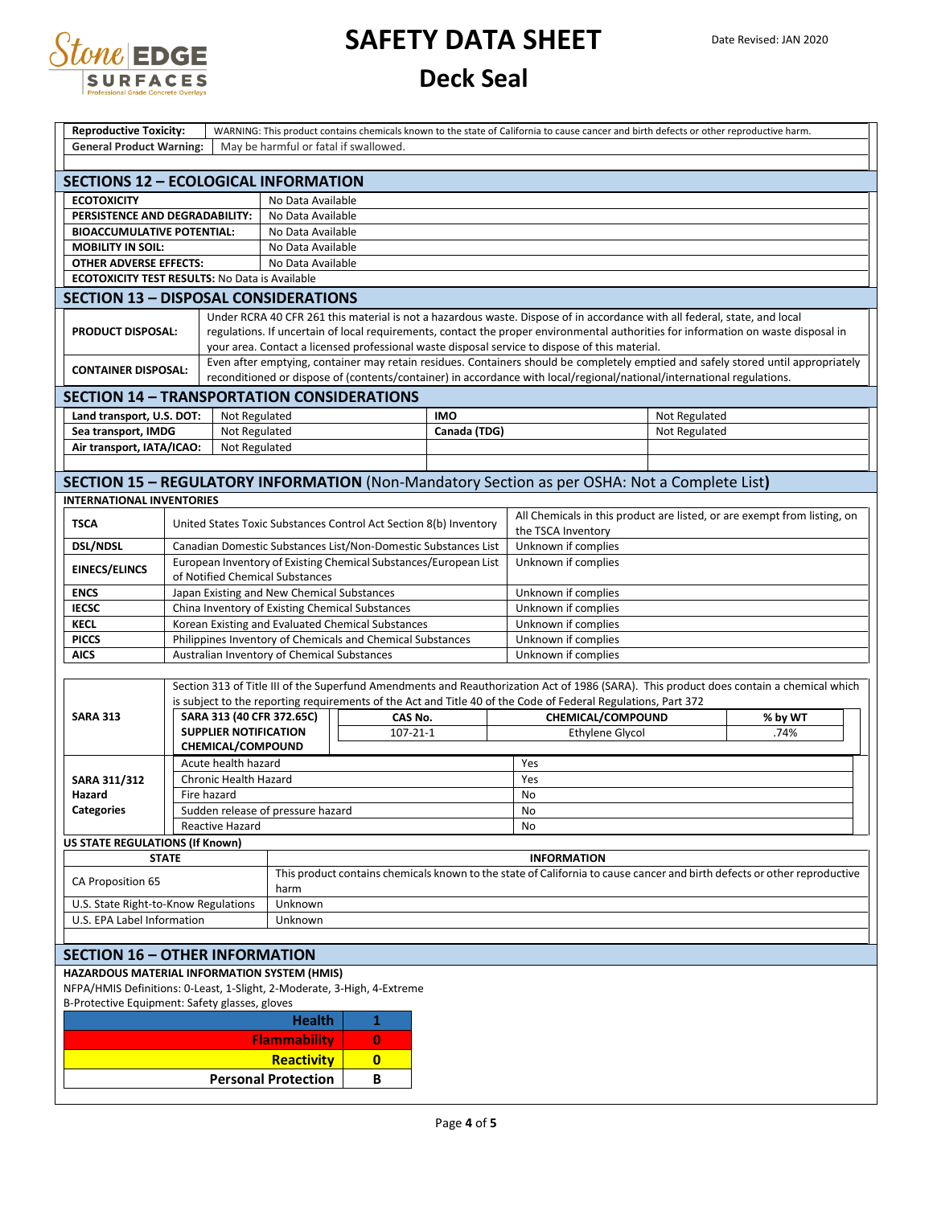

| <b>Reproductive Toxicity:</b><br><b>General Product Warning:</b>        | WARNING: This product contains chemicals known to the state of California to cause cancer and birth defects or other reproductive harm.<br>May be harmful or fatal if swallowed. |                              |                                                                                                                                                                                                                                                                                                                                                                   |          |                                                                   |                                                                                                                                                                                                                                                             |               |                                                                          |  |  |  |
|-------------------------------------------------------------------------|----------------------------------------------------------------------------------------------------------------------------------------------------------------------------------|------------------------------|-------------------------------------------------------------------------------------------------------------------------------------------------------------------------------------------------------------------------------------------------------------------------------------------------------------------------------------------------------------------|----------|-------------------------------------------------------------------|-------------------------------------------------------------------------------------------------------------------------------------------------------------------------------------------------------------------------------------------------------------|---------------|--------------------------------------------------------------------------|--|--|--|
|                                                                         |                                                                                                                                                                                  |                              |                                                                                                                                                                                                                                                                                                                                                                   |          |                                                                   |                                                                                                                                                                                                                                                             |               |                                                                          |  |  |  |
| <b>SECTIONS 12 - ECOLOGICAL INFORMATION</b>                             |                                                                                                                                                                                  |                              |                                                                                                                                                                                                                                                                                                                                                                   |          |                                                                   |                                                                                                                                                                                                                                                             |               |                                                                          |  |  |  |
| <b>ECOTOXICITY</b>                                                      |                                                                                                                                                                                  |                              | No Data Available                                                                                                                                                                                                                                                                                                                                                 |          |                                                                   |                                                                                                                                                                                                                                                             |               |                                                                          |  |  |  |
|                                                                         | PERSISTENCE AND DEGRADABILITY:<br>No Data Available                                                                                                                              |                              |                                                                                                                                                                                                                                                                                                                                                                   |          |                                                                   |                                                                                                                                                                                                                                                             |               |                                                                          |  |  |  |
| <b>BIOACCUMULATIVE POTENTIAL:</b>                                       |                                                                                                                                                                                  |                              | No Data Available                                                                                                                                                                                                                                                                                                                                                 |          |                                                                   |                                                                                                                                                                                                                                                             |               |                                                                          |  |  |  |
| <b>MOBILITY IN SOIL:</b>                                                |                                                                                                                                                                                  |                              | No Data Available                                                                                                                                                                                                                                                                                                                                                 |          |                                                                   |                                                                                                                                                                                                                                                             |               |                                                                          |  |  |  |
| <b>OTHER ADVERSE EFFECTS:</b><br>No Data Available                      |                                                                                                                                                                                  |                              |                                                                                                                                                                                                                                                                                                                                                                   |          |                                                                   |                                                                                                                                                                                                                                                             |               |                                                                          |  |  |  |
| <b>ECOTOXICITY TEST RESULTS: No Data is Available</b>                   |                                                                                                                                                                                  |                              |                                                                                                                                                                                                                                                                                                                                                                   |          |                                                                   |                                                                                                                                                                                                                                                             |               |                                                                          |  |  |  |
| <b>SECTION 13 - DISPOSAL CONSIDERATIONS</b>                             |                                                                                                                                                                                  |                              |                                                                                                                                                                                                                                                                                                                                                                   |          |                                                                   |                                                                                                                                                                                                                                                             |               |                                                                          |  |  |  |
| <b>PRODUCT DISPOSAL:</b>                                                |                                                                                                                                                                                  |                              | Under RCRA 40 CFR 261 this material is not a hazardous waste. Dispose of in accordance with all federal, state, and local<br>regulations. If uncertain of local requirements, contact the proper environmental authorities for information on waste disposal in<br>your area. Contact a licensed professional waste disposal service to dispose of this material. |          |                                                                   |                                                                                                                                                                                                                                                             |               |                                                                          |  |  |  |
| <b>CONTAINER DISPOSAL:</b>                                              |                                                                                                                                                                                  |                              |                                                                                                                                                                                                                                                                                                                                                                   |          |                                                                   | Even after emptying, container may retain residues. Containers should be completely emptied and safely stored until appropriately<br>reconditioned or dispose of (contents/container) in accordance with local/regional/national/international regulations. |               |                                                                          |  |  |  |
| <b>SECTION 14 - TRANSPORTATION CONSIDERATIONS</b>                       |                                                                                                                                                                                  |                              |                                                                                                                                                                                                                                                                                                                                                                   |          |                                                                   |                                                                                                                                                                                                                                                             |               |                                                                          |  |  |  |
| Land transport, U.S. DOT:                                               |                                                                                                                                                                                  | Not Regulated                |                                                                                                                                                                                                                                                                                                                                                                   |          | <b>IMO</b>                                                        |                                                                                                                                                                                                                                                             | Not Regulated |                                                                          |  |  |  |
| Sea transport, IMDG                                                     |                                                                                                                                                                                  | Not Regulated                |                                                                                                                                                                                                                                                                                                                                                                   |          | Canada (TDG)                                                      |                                                                                                                                                                                                                                                             | Not Regulated |                                                                          |  |  |  |
| Air transport, IATA/ICAO:                                               |                                                                                                                                                                                  | Not Regulated                |                                                                                                                                                                                                                                                                                                                                                                   |          |                                                                   |                                                                                                                                                                                                                                                             |               |                                                                          |  |  |  |
|                                                                         |                                                                                                                                                                                  |                              |                                                                                                                                                                                                                                                                                                                                                                   |          |                                                                   |                                                                                                                                                                                                                                                             |               |                                                                          |  |  |  |
|                                                                         |                                                                                                                                                                                  |                              |                                                                                                                                                                                                                                                                                                                                                                   |          |                                                                   | SECTION 15 - REGULATORY INFORMATION (Non-Mandatory Section as per OSHA: Not a Complete List)                                                                                                                                                                |               |                                                                          |  |  |  |
| <b>INTERNATIONAL INVENTORIES</b>                                        |                                                                                                                                                                                  |                              |                                                                                                                                                                                                                                                                                                                                                                   |          |                                                                   |                                                                                                                                                                                                                                                             |               |                                                                          |  |  |  |
| <b>TSCA</b>                                                             |                                                                                                                                                                                  |                              |                                                                                                                                                                                                                                                                                                                                                                   |          | United States Toxic Substances Control Act Section 8(b) Inventory | the TSCA Inventory                                                                                                                                                                                                                                          |               | All Chemicals in this product are listed, or are exempt from listing, on |  |  |  |
| <b>DSL/NDSL</b>                                                         |                                                                                                                                                                                  |                              |                                                                                                                                                                                                                                                                                                                                                                   |          | Canadian Domestic Substances List/Non-Domestic Substances List    | Unknown if complies                                                                                                                                                                                                                                         |               |                                                                          |  |  |  |
| <b>EINECS/ELINCS</b>                                                    |                                                                                                                                                                                  |                              |                                                                                                                                                                                                                                                                                                                                                                   |          | European Inventory of Existing Chemical Substances/European List  | Unknown if complies                                                                                                                                                                                                                                         |               |                                                                          |  |  |  |
|                                                                         |                                                                                                                                                                                  |                              | of Notified Chemical Substances                                                                                                                                                                                                                                                                                                                                   |          |                                                                   |                                                                                                                                                                                                                                                             |               |                                                                          |  |  |  |
| <b>ENCS</b>                                                             |                                                                                                                                                                                  |                              | Japan Existing and New Chemical Substances                                                                                                                                                                                                                                                                                                                        |          |                                                                   | Unknown if complies                                                                                                                                                                                                                                         |               |                                                                          |  |  |  |
| <b>IECSC</b>                                                            |                                                                                                                                                                                  |                              | China Inventory of Existing Chemical Substances                                                                                                                                                                                                                                                                                                                   |          |                                                                   | Unknown if complies                                                                                                                                                                                                                                         |               |                                                                          |  |  |  |
| <b>KECL</b>                                                             |                                                                                                                                                                                  |                              | Korean Existing and Evaluated Chemical Substances                                                                                                                                                                                                                                                                                                                 |          |                                                                   | Unknown if complies                                                                                                                                                                                                                                         |               |                                                                          |  |  |  |
| <b>PICCS</b>                                                            |                                                                                                                                                                                  |                              | Philippines Inventory of Chemicals and Chemical Substances                                                                                                                                                                                                                                                                                                        |          |                                                                   | Unknown if complies<br>Unknown if complies                                                                                                                                                                                                                  |               |                                                                          |  |  |  |
| <b>AICS</b>                                                             |                                                                                                                                                                                  |                              | Australian Inventory of Chemical Substances                                                                                                                                                                                                                                                                                                                       |          |                                                                   |                                                                                                                                                                                                                                                             |               |                                                                          |  |  |  |
|                                                                         |                                                                                                                                                                                  |                              |                                                                                                                                                                                                                                                                                                                                                                   |          |                                                                   | Section 313 of Title III of the Superfund Amendments and Reauthorization Act of 1986 (SARA). This product does contain a chemical which                                                                                                                     |               |                                                                          |  |  |  |
|                                                                         |                                                                                                                                                                                  |                              |                                                                                                                                                                                                                                                                                                                                                                   |          |                                                                   | is subject to the reporting requirements of the Act and Title 40 of the Code of Federal Regulations, Part 372                                                                                                                                               |               |                                                                          |  |  |  |
| <b>SARA 313</b>                                                         |                                                                                                                                                                                  |                              | SARA 313 (40 CFR 372.65C)<br>CAS No.                                                                                                                                                                                                                                                                                                                              |          |                                                                   | CHEMICAL/COMPOUND                                                                                                                                                                                                                                           |               | % by WT                                                                  |  |  |  |
|                                                                         |                                                                                                                                                                                  | <b>SUPPLIER NOTIFICATION</b> | $107 - 21 - 1$                                                                                                                                                                                                                                                                                                                                                    |          |                                                                   | <b>Ethylene Glycol</b>                                                                                                                                                                                                                                      |               | .74%                                                                     |  |  |  |
|                                                                         |                                                                                                                                                                                  | CHEMICAL/COMPOUND            |                                                                                                                                                                                                                                                                                                                                                                   |          |                                                                   |                                                                                                                                                                                                                                                             |               |                                                                          |  |  |  |
|                                                                         |                                                                                                                                                                                  | Acute health hazard          |                                                                                                                                                                                                                                                                                                                                                                   |          |                                                                   | Yes                                                                                                                                                                                                                                                         |               |                                                                          |  |  |  |
| <b>SARA 311/312</b>                                                     |                                                                                                                                                                                  | Chronic Health Hazard        |                                                                                                                                                                                                                                                                                                                                                                   |          |                                                                   | Yes                                                                                                                                                                                                                                                         |               |                                                                          |  |  |  |
| Hazard                                                                  | Fire hazard                                                                                                                                                                      |                              |                                                                                                                                                                                                                                                                                                                                                                   |          |                                                                   | No                                                                                                                                                                                                                                                          |               |                                                                          |  |  |  |
| <b>Categories</b>                                                       |                                                                                                                                                                                  |                              | Sudden release of pressure hazard                                                                                                                                                                                                                                                                                                                                 |          |                                                                   | No                                                                                                                                                                                                                                                          |               |                                                                          |  |  |  |
|                                                                         |                                                                                                                                                                                  | <b>Reactive Hazard</b>       |                                                                                                                                                                                                                                                                                                                                                                   |          |                                                                   | <b>No</b>                                                                                                                                                                                                                                                   |               |                                                                          |  |  |  |
| <b>US STATE REGULATIONS (If Known)</b>                                  |                                                                                                                                                                                  |                              |                                                                                                                                                                                                                                                                                                                                                                   |          |                                                                   |                                                                                                                                                                                                                                                             |               |                                                                          |  |  |  |
| <b>STATE</b>                                                            |                                                                                                                                                                                  |                              | <b>INFORMATION</b>                                                                                                                                                                                                                                                                                                                                                |          |                                                                   |                                                                                                                                                                                                                                                             |               |                                                                          |  |  |  |
| CA Proposition 65                                                       |                                                                                                                                                                                  |                              | This product contains chemicals known to the state of California to cause cancer and birth defects or other reproductive<br>harm                                                                                                                                                                                                                                  |          |                                                                   |                                                                                                                                                                                                                                                             |               |                                                                          |  |  |  |
| U.S. State Right-to-Know Regulations                                    |                                                                                                                                                                                  |                              | Unknown                                                                                                                                                                                                                                                                                                                                                           |          |                                                                   |                                                                                                                                                                                                                                                             |               |                                                                          |  |  |  |
| U.S. EPA Label Information                                              |                                                                                                                                                                                  |                              | Unknown                                                                                                                                                                                                                                                                                                                                                           |          |                                                                   |                                                                                                                                                                                                                                                             |               |                                                                          |  |  |  |
|                                                                         |                                                                                                                                                                                  |                              |                                                                                                                                                                                                                                                                                                                                                                   |          |                                                                   |                                                                                                                                                                                                                                                             |               |                                                                          |  |  |  |
| <b>SECTION 16 - OTHER INFORMATION</b>                                   |                                                                                                                                                                                  |                              |                                                                                                                                                                                                                                                                                                                                                                   |          |                                                                   |                                                                                                                                                                                                                                                             |               |                                                                          |  |  |  |
| HAZARDOUS MATERIAL INFORMATION SYSTEM (HMIS)                            |                                                                                                                                                                                  |                              |                                                                                                                                                                                                                                                                                                                                                                   |          |                                                                   |                                                                                                                                                                                                                                                             |               |                                                                          |  |  |  |
| NFPA/HMIS Definitions: 0-Least, 1-Slight, 2-Moderate, 3-High, 4-Extreme |                                                                                                                                                                                  |                              |                                                                                                                                                                                                                                                                                                                                                                   |          |                                                                   |                                                                                                                                                                                                                                                             |               |                                                                          |  |  |  |
| B-Protective Equipment: Safety glasses, gloves                          |                                                                                                                                                                                  |                              |                                                                                                                                                                                                                                                                                                                                                                   |          |                                                                   |                                                                                                                                                                                                                                                             |               |                                                                          |  |  |  |
|                                                                         |                                                                                                                                                                                  |                              | <b>Health</b>                                                                                                                                                                                                                                                                                                                                                     | 1        |                                                                   |                                                                                                                                                                                                                                                             |               |                                                                          |  |  |  |
|                                                                         | <b>Flammability</b><br>$\bf{0}$                                                                                                                                                  |                              |                                                                                                                                                                                                                                                                                                                                                                   |          |                                                                   |                                                                                                                                                                                                                                                             |               |                                                                          |  |  |  |
|                                                                         |                                                                                                                                                                                  |                              | <b>Reactivity</b>                                                                                                                                                                                                                                                                                                                                                 | $\bf{0}$ |                                                                   |                                                                                                                                                                                                                                                             |               |                                                                          |  |  |  |
|                                                                         |                                                                                                                                                                                  |                              | <b>Personal Protection</b>                                                                                                                                                                                                                                                                                                                                        | В        |                                                                   |                                                                                                                                                                                                                                                             |               |                                                                          |  |  |  |